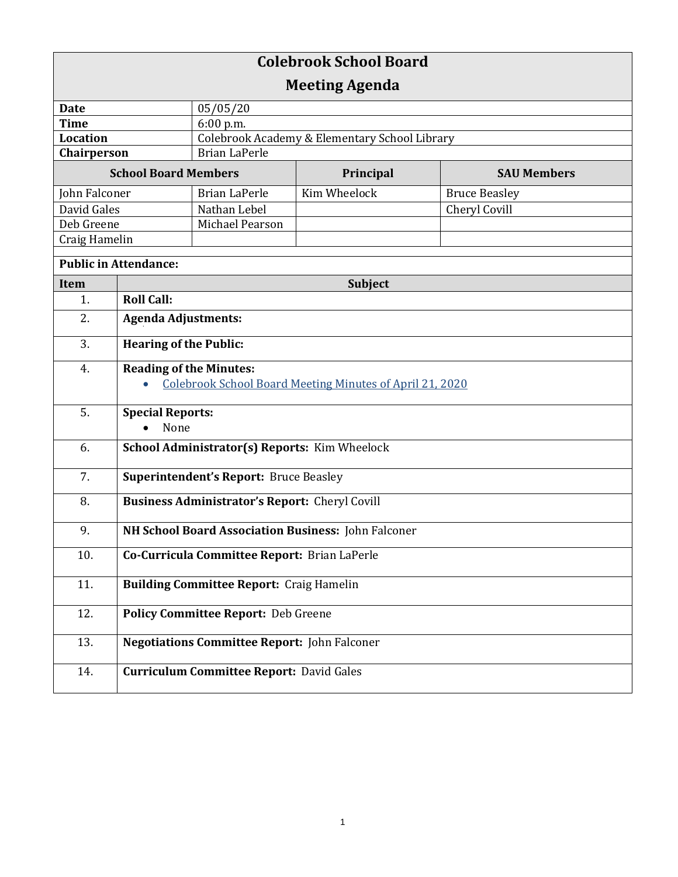| <b>Colebrook School Board</b> |                                                          |                                                 |              |                      |  |
|-------------------------------|----------------------------------------------------------|-------------------------------------------------|--------------|----------------------|--|
| <b>Meeting Agenda</b>         |                                                          |                                                 |              |                      |  |
| <b>Date</b>                   |                                                          | 05/05/20                                        |              |                      |  |
| <b>Time</b>                   |                                                          | 6:00 p.m.                                       |              |                      |  |
| <b>Location</b>               |                                                          | Colebrook Academy & Elementary School Library   |              |                      |  |
| Chairperson                   |                                                          | <b>Brian LaPerle</b>                            |              |                      |  |
| <b>School Board Members</b>   |                                                          |                                                 | Principal    | <b>SAU Members</b>   |  |
| John Falconer                 |                                                          | <b>Brian LaPerle</b>                            | Kim Wheelock | <b>Bruce Beasley</b> |  |
| David Gales                   |                                                          | Nathan Lebel                                    |              | Cheryl Covill        |  |
| Deb Greene                    |                                                          | Michael Pearson                                 |              |                      |  |
| Craig Hamelin                 |                                                          |                                                 |              |                      |  |
| <b>Public in Attendance:</b>  |                                                          |                                                 |              |                      |  |
| <b>Item</b>                   | <b>Subject</b>                                           |                                                 |              |                      |  |
| 1.                            | <b>Roll Call:</b>                                        |                                                 |              |                      |  |
| 2.                            | <b>Agenda Adjustments:</b>                               |                                                 |              |                      |  |
| 3.                            | <b>Hearing of the Public:</b>                            |                                                 |              |                      |  |
| 4.                            | <b>Reading of the Minutes:</b>                           |                                                 |              |                      |  |
|                               | Colebrook School Board Meeting Minutes of April 21, 2020 |                                                 |              |                      |  |
| 5.                            | <b>Special Reports:</b><br>None                          |                                                 |              |                      |  |
| 6.                            | School Administrator(s) Reports: Kim Wheelock            |                                                 |              |                      |  |
| 7.                            | <b>Superintendent's Report: Bruce Beasley</b>            |                                                 |              |                      |  |
| 8.                            | <b>Business Administrator's Report: Cheryl Covill</b>    |                                                 |              |                      |  |
| 9.                            | NH School Board Association Business: John Falconer      |                                                 |              |                      |  |
| 10.                           | Co-Curricula Committee Report: Brian LaPerle             |                                                 |              |                      |  |
| 11.                           | <b>Building Committee Report: Craig Hamelin</b>          |                                                 |              |                      |  |
| 12.                           | <b>Policy Committee Report: Deb Greene</b>               |                                                 |              |                      |  |
| 13.                           | <b>Negotiations Committee Report: John Falconer</b>      |                                                 |              |                      |  |
| 14.                           |                                                          | <b>Curriculum Committee Report: David Gales</b> |              |                      |  |